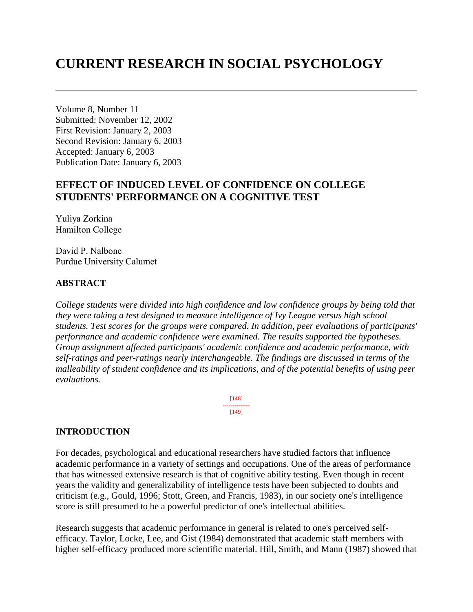# **CURRENT RESEARCH IN SOCIAL PSYCHOLOGY**

Volume 8, Number 11 Submitted: November 12, 2002 First Revision: January 2, 2003 Second Revision: January 6, 2003 Accepted: January 6, 2003 Publication Date: January 6, 2003

# **EFFECT OF INDUCED LEVEL OF CONFIDENCE ON COLLEGE STUDENTS' PERFORMANCE ON A COGNITIVE TEST**

Yuliya Zorkina Hamilton College

David P. Nalbone Purdue University Calumet

#### **ABSTRACT**

*College students were divided into high confidence and low confidence groups by being told that they were taking a test designed to measure intelligence of Ivy League versus high school students. Test scores for the groups were compared. In addition, peer evaluations of participants' performance and academic confidence were examined. The results supported the hypotheses. Group assignment affected participants' academic confidence and academic performance, with self-ratings and peer-ratings nearly interchangeable. The findings are discussed in terms of the malleability of student confidence and its implications, and of the potential benefits of using peer evaluations.*

> [148] -------------- [149]

#### **INTRODUCTION**

For decades, psychological and educational researchers have studied factors that influence academic performance in a variety of settings and occupations. One of the areas of performance that has witnessed extensive research is that of cognitive ability testing. Even though in recent years the validity and generalizability of intelligence tests have been subjected to doubts and criticism (e.g., Gould, 1996; Stott, Green, and Francis, 1983), in our society one's intelligence score is still presumed to be a powerful predictor of one's intellectual abilities.

Research suggests that academic performance in general is related to one's perceived selfefficacy. Taylor, Locke, Lee, and Gist (1984) demonstrated that academic staff members with higher self-efficacy produced more scientific material. Hill, Smith, and Mann (1987) showed that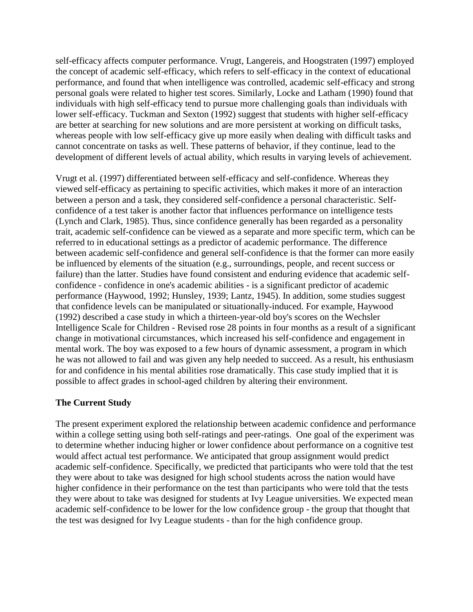self-efficacy affects computer performance. Vrugt, Langereis, and Hoogstraten (1997) employed the concept of academic self-efficacy, which refers to self-efficacy in the context of educational performance, and found that when intelligence was controlled, academic self-efficacy and strong personal goals were related to higher test scores. Similarly, Locke and Latham (1990) found that individuals with high self-efficacy tend to pursue more challenging goals than individuals with lower self-efficacy. Tuckman and Sexton (1992) suggest that students with higher self-efficacy are better at searching for new solutions and are more persistent at working on difficult tasks, whereas people with low self-efficacy give up more easily when dealing with difficult tasks and cannot concentrate on tasks as well. These patterns of behavior, if they continue, lead to the development of different levels of actual ability, which results in varying levels of achievement.

Vrugt et al. (1997) differentiated between self-efficacy and self-confidence. Whereas they viewed self-efficacy as pertaining to specific activities, which makes it more of an interaction between a person and a task, they considered self-confidence a personal characteristic. Selfconfidence of a test taker is another factor that influences performance on intelligence tests (Lynch and Clark, 1985). Thus, since confidence generally has been regarded as a personality trait, academic self-confidence can be viewed as a separate and more specific term, which can be referred to in educational settings as a predictor of academic performance. The difference between academic self-confidence and general self-confidence is that the former can more easily be influenced by elements of the situation (e.g., surroundings, people, and recent success or failure) than the latter. Studies have found consistent and enduring evidence that academic selfconfidence - confidence in one's academic abilities - is a significant predictor of academic performance (Haywood, 1992; Hunsley, 1939; Lantz, 1945). In addition, some studies suggest that confidence levels can be manipulated or situationally-induced. For example, Haywood (1992) described a case study in which a thirteen-year-old boy's scores on the Wechsler Intelligence Scale for Children - Revised rose 28 points in four months as a result of a significant change in motivational circumstances, which increased his self-confidence and engagement in mental work. The boy was exposed to a few hours of dynamic assessment, a program in which he was not allowed to fail and was given any help needed to succeed. As a result, his enthusiasm for and confidence in his mental abilities rose dramatically. This case study implied that it is possible to affect grades in school-aged children by altering their environment.

#### **The Current Study**

The present experiment explored the relationship between academic confidence and performance within a college setting using both self-ratings and peer-ratings. One goal of the experiment was to determine whether inducing higher or lower confidence about performance on a cognitive test would affect actual test performance. We anticipated that group assignment would predict academic self-confidence. Specifically, we predicted that participants who were told that the test they were about to take was designed for high school students across the nation would have higher confidence in their performance on the test than participants who were told that the tests they were about to take was designed for students at Ivy League universities. We expected mean academic self-confidence to be lower for the low confidence group - the group that thought that the test was designed for Ivy League students - than for the high confidence group.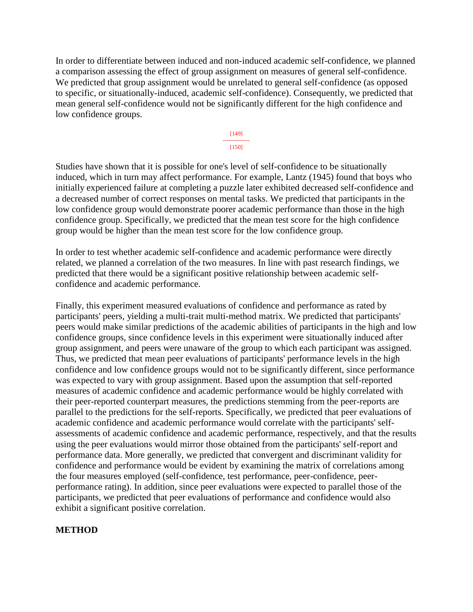In order to differentiate between induced and non-induced academic self-confidence, we planned a comparison assessing the effect of group assignment on measures of general self-confidence. We predicted that group assignment would be unrelated to general self-confidence (as opposed to specific, or situationally-induced, academic self-confidence). Consequently, we predicted that mean general self-confidence would not be significantly different for the high confidence and low confidence groups.

> [149] -------------- [150]

Studies have shown that it is possible for one's level of self-confidence to be situationally induced, which in turn may affect performance. For example, Lantz (1945) found that boys who initially experienced failure at completing a puzzle later exhibited decreased self-confidence and a decreased number of correct responses on mental tasks. We predicted that participants in the low confidence group would demonstrate poorer academic performance than those in the high confidence group. Specifically, we predicted that the mean test score for the high confidence group would be higher than the mean test score for the low confidence group.

In order to test whether academic self-confidence and academic performance were directly related, we planned a correlation of the two measures. In line with past research findings, we predicted that there would be a significant positive relationship between academic selfconfidence and academic performance.

Finally, this experiment measured evaluations of confidence and performance as rated by participants' peers, yielding a multi-trait multi-method matrix. We predicted that participants' peers would make similar predictions of the academic abilities of participants in the high and low confidence groups, since confidence levels in this experiment were situationally induced after group assignment, and peers were unaware of the group to which each participant was assigned. Thus, we predicted that mean peer evaluations of participants' performance levels in the high confidence and low confidence groups would not to be significantly different, since performance was expected to vary with group assignment. Based upon the assumption that self-reported measures of academic confidence and academic performance would be highly correlated with their peer-reported counterpart measures, the predictions stemming from the peer-reports are parallel to the predictions for the self-reports. Specifically, we predicted that peer evaluations of academic confidence and academic performance would correlate with the participants' selfassessments of academic confidence and academic performance, respectively, and that the results using the peer evaluations would mirror those obtained from the participants' self-report and performance data. More generally, we predicted that convergent and discriminant validity for confidence and performance would be evident by examining the matrix of correlations among the four measures employed (self-confidence, test performance, peer-confidence, peerperformance rating). In addition, since peer evaluations were expected to parallel those of the participants, we predicted that peer evaluations of performance and confidence would also exhibit a significant positive correlation.

#### **METHOD**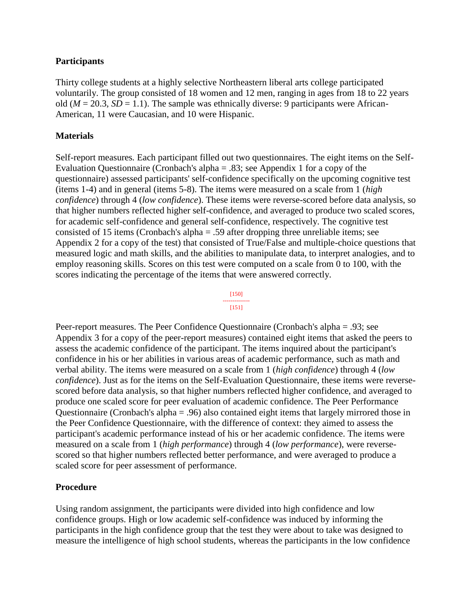#### **Participants**

Thirty college students at a highly selective Northeastern liberal arts college participated voluntarily. The group consisted of 18 women and 12 men, ranging in ages from 18 to 22 years old ( $M = 20.3$ ,  $SD = 1.1$ ). The sample was ethnically diverse: 9 participants were African-American, 11 were Caucasian, and 10 were Hispanic.

#### **Materials**

Self-report measures*.* Each participant filled out two questionnaires. The eight items on the Self-Evaluation Questionnaire (Cronbach's alpha = .83; see Appendix 1 for a copy of the questionnaire) assessed participants' self-confidence specifically on the upcoming cognitive test (items 1-4) and in general (items 5-8). The items were measured on a scale from 1 (*high confidence*) through 4 (*low confidence*). These items were reverse-scored before data analysis, so that higher numbers reflected higher self-confidence, and averaged to produce two scaled scores, for academic self-confidence and general self-confidence, respectively. The cognitive test consisted of 15 items (Cronbach's alpha = .59 after dropping three unreliable items; see Appendix 2 for a copy of the test) that consisted of True/False and multiple-choice questions that measured logic and math skills, and the abilities to manipulate data, to interpret analogies, and to employ reasoning skills. Scores on this test were computed on a scale from 0 to 100, with the scores indicating the percentage of the items that were answered correctly.



Peer-report measures. The Peer Confidence Questionnaire (Cronbach's alpha = .93; see Appendix 3 for a copy of the peer-report measures) contained eight items that asked the peers to assess the academic confidence of the participant. The items inquired about the participant's confidence in his or her abilities in various areas of academic performance, such as math and verbal ability. The items were measured on a scale from 1 (*high confidence*) through 4 (*low confidence*). Just as for the items on the Self-Evaluation Questionnaire, these items were reversescored before data analysis, so that higher numbers reflected higher confidence, and averaged to produce one scaled score for peer evaluation of academic confidence. The Peer Performance Questionnaire (Cronbach's alpha = .96) also contained eight items that largely mirrored those in the Peer Confidence Questionnaire, with the difference of context: they aimed to assess the participant's academic performance instead of his or her academic confidence. The items were measured on a scale from 1 (*high performance*) through 4 (*low performance*), were reversescored so that higher numbers reflected better performance, and were averaged to produce a scaled score for peer assessment of performance.

#### **Procedure**

Using random assignment, the participants were divided into high confidence and low confidence groups. High or low academic self-confidence was induced by informing the participants in the high confidence group that the test they were about to take was designed to measure the intelligence of high school students, whereas the participants in the low confidence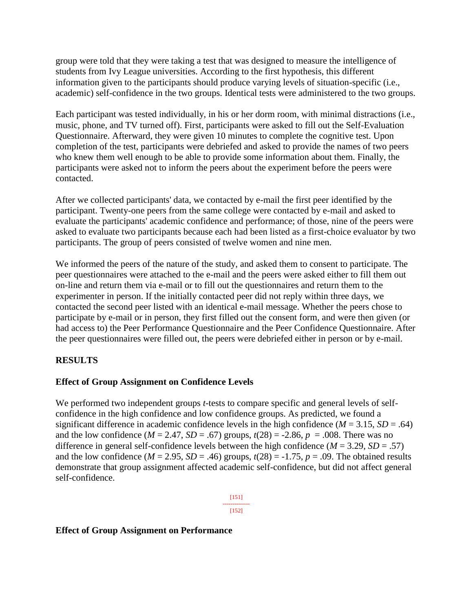group were told that they were taking a test that was designed to measure the intelligence of students from Ivy League universities. According to the first hypothesis, this different information given to the participants should produce varying levels of situation-specific (i.e., academic) self-confidence in the two groups. Identical tests were administered to the two groups.

Each participant was tested individually, in his or her dorm room, with minimal distractions (i.e., music, phone, and TV turned off). First, participants were asked to fill out the Self-Evaluation Questionnaire. Afterward, they were given 10 minutes to complete the cognitive test. Upon completion of the test, participants were debriefed and asked to provide the names of two peers who knew them well enough to be able to provide some information about them. Finally, the participants were asked not to inform the peers about the experiment before the peers were contacted.

After we collected participants' data, we contacted by e-mail the first peer identified by the participant. Twenty-one peers from the same college were contacted by e-mail and asked to evaluate the participants' academic confidence and performance; of those, nine of the peers were asked to evaluate two participants because each had been listed as a first-choice evaluator by two participants. The group of peers consisted of twelve women and nine men.

We informed the peers of the nature of the study, and asked them to consent to participate. The peer questionnaires were attached to the e-mail and the peers were asked either to fill them out on-line and return them via e-mail or to fill out the questionnaires and return them to the experimenter in person. If the initially contacted peer did not reply within three days, we contacted the second peer listed with an identical e-mail message. Whether the peers chose to participate by e-mail or in person, they first filled out the consent form, and were then given (or had access to) the Peer Performance Questionnaire and the Peer Confidence Questionnaire. After the peer questionnaires were filled out, the peers were debriefed either in person or by e-mail.

### **RESULTS**

#### **Effect of Group Assignment on Confidence Levels**

We performed two independent groups *t*-tests to compare specific and general levels of selfconfidence in the high confidence and low confidence groups. As predicted, we found a significant difference in academic confidence levels in the high confidence  $(M = 3.15, SD = .64)$ and the low confidence  $(M = 2.47, SD = .67)$  groups,  $t(28) = -2.86, p = .008$ . There was no difference in general self-confidence levels between the high confidence  $(M = 3.29, SD = .57)$ and the low confidence ( $M = 2.95$ ,  $SD = .46$ ) groups,  $t(28) = -1.75$ ,  $p = .09$ . The obtained results demonstrate that group assignment affected academic self-confidence, but did not affect general self-confidence.

> [151] -------------- [152]

#### **Effect of Group Assignment on Performance**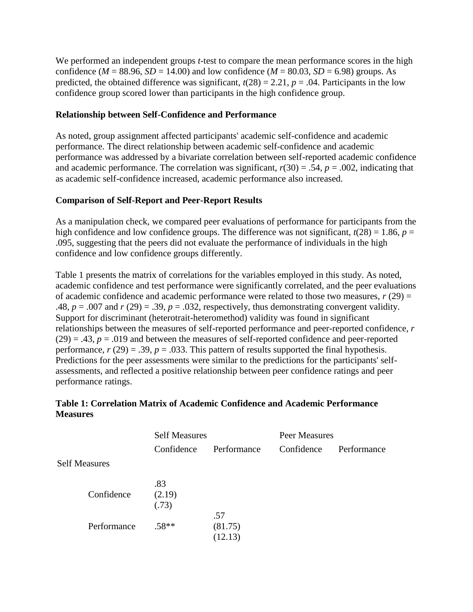We performed an independent groups *t*-test to compare the mean performance scores in the high confidence ( $M = 88.96$ ,  $SD = 14.00$ ) and low confidence ( $M = 80.03$ ,  $SD = 6.98$ ) groups. As predicted, the obtained difference was significant,  $t(28) = 2.21$ ,  $p = .04$ . Participants in the low confidence group scored lower than participants in the high confidence group.

#### **Relationship between Self-Confidence and Performance**

As noted, group assignment affected participants' academic self-confidence and academic performance. The direct relationship between academic self-confidence and academic performance was addressed by a bivariate correlation between self-reported academic confidence and academic performance. The correlation was significant,  $r(30) = .54$ ,  $p = .002$ , indicating that as academic self-confidence increased, academic performance also increased.

#### **Comparison of Self-Report and Peer-Report Results**

As a manipulation check, we compared peer evaluations of performance for participants from the high confidence and low confidence groups. The difference was not significant,  $t(28) = 1.86$ ,  $p =$ .095, suggesting that the peers did not evaluate the performance of individuals in the high confidence and low confidence groups differently.

Table 1 presents the matrix of correlations for the variables employed in this study. As noted, academic confidence and test performance were significantly correlated, and the peer evaluations of academic confidence and academic performance were related to those two measures,  $r(29) =$ .48,  $p = .007$  and  $r(29) = .39$ ,  $p = .032$ , respectively, thus demonstrating convergent validity. Support for discriminant (heterotrait-heteromethod) validity was found in significant relationships between the measures of self-reported performance and peer-reported confidence, *r*  $(29) = .43$ ,  $p = .019$  and between the measures of self-reported confidence and peer-reported performance,  $r(29) = .39$ ,  $p = .033$ . This pattern of results supported the final hypothesis. Predictions for the peer assessments were similar to the predictions for the participants' selfassessments, and reflected a positive relationship between peer confidence ratings and peer performance ratings.

### **Table 1: Correlation Matrix of Academic Confidence and Academic Performance Measures**

|                      | <b>Self Measures</b>   |                           | Peer Measures |             |
|----------------------|------------------------|---------------------------|---------------|-------------|
|                      | Confidence             | Performance               | Confidence    | Performance |
| <b>Self Measures</b> |                        |                           |               |             |
| Confidence           | .83<br>(2.19)<br>(.73) |                           |               |             |
| Performance          | $.58**$                | .57<br>(81.75)<br>(12.13) |               |             |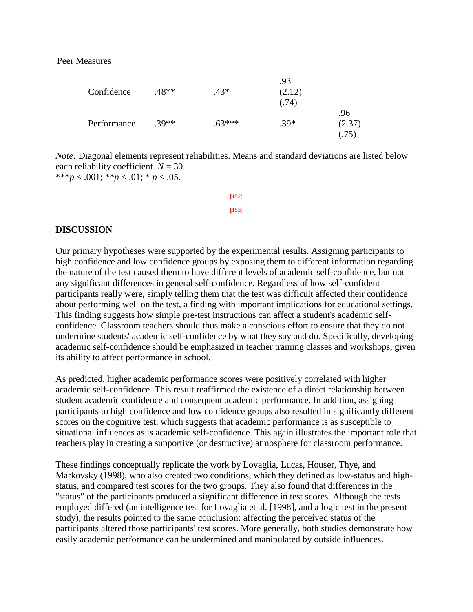Peer Measures

| Confidence  | .48**   | $.43*$  | .93<br>(2.12)<br>(.74) |                        |
|-------------|---------|---------|------------------------|------------------------|
| Performance | $.39**$ | $63***$ | $.39*$                 | .96<br>(2.37)<br>(.75) |

*Note:* Diagonal elements represent reliabilities. Means and standard deviations are listed below each reliability coefficient. *N* = 30.

\*\*\**p* < .001; \*\**p* < .01; \* *p* < .05.

#### **DISCUSSION**

Our primary hypotheses were supported by the experimental results. Assigning participants to high confidence and low confidence groups by exposing them to different information regarding the nature of the test caused them to have different levels of academic self-confidence, but not any significant differences in general self-confidence. Regardless of how self-confident participants really were, simply telling them that the test was difficult affected their confidence about performing well on the test, a finding with important implications for educational settings. This finding suggests how simple pre-test instructions can affect a student's academic selfconfidence. Classroom teachers should thus make a conscious effort to ensure that they do not undermine students' academic self-confidence by what they say and do. Specifically, developing academic self-confidence should be emphasized in teacher training classes and workshops, given its ability to affect performance in school.

As predicted, higher academic performance scores were positively correlated with higher academic self-confidence. This result reaffirmed the existence of a direct relationship between student academic confidence and consequent academic performance. In addition, assigning participants to high confidence and low confidence groups also resulted in significantly different scores on the cognitive test, which suggests that academic performance is as susceptible to situational influences as is academic self-confidence. This again illustrates the important role that teachers play in creating a supportive (or destructive) atmosphere for classroom performance.

These findings conceptually replicate the work by Lovaglia, Lucas, Houser, Thye, and Markovsky (1998), who also created two conditions, which they defined as low-status and highstatus, and compared test scores for the two groups. They also found that differences in the "status" of the participants produced a significant difference in test scores. Although the tests employed differed (an intelligence test for Lovaglia et al. [1998], and a logic test in the present study), the results pointed to the same conclusion: affecting the perceived status of the participants altered those participants' test scores. More generally, both studies demonstrate how easily academic performance can be undermined and manipulated by outside influences.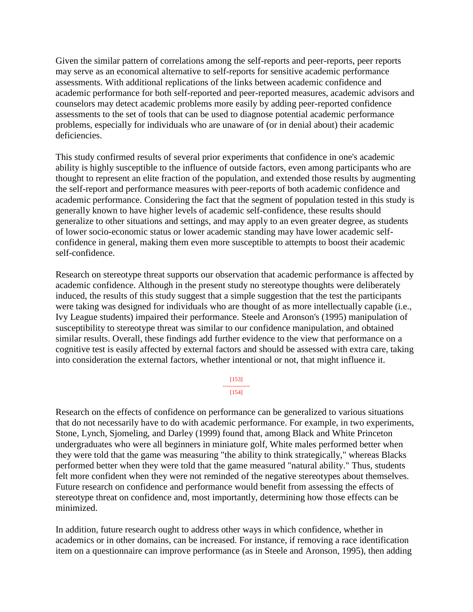Given the similar pattern of correlations among the self-reports and peer-reports, peer reports may serve as an economical alternative to self-reports for sensitive academic performance assessments. With additional replications of the links between academic confidence and academic performance for both self-reported and peer-reported measures, academic advisors and counselors may detect academic problems more easily by adding peer-reported confidence assessments to the set of tools that can be used to diagnose potential academic performance problems, especially for individuals who are unaware of (or in denial about) their academic deficiencies.

This study confirmed results of several prior experiments that confidence in one's academic ability is highly susceptible to the influence of outside factors, even among participants who are thought to represent an elite fraction of the population, and extended those results by augmenting the self-report and performance measures with peer-reports of both academic confidence and academic performance. Considering the fact that the segment of population tested in this study is generally known to have higher levels of academic self-confidence, these results should generalize to other situations and settings, and may apply to an even greater degree, as students of lower socio-economic status or lower academic standing may have lower academic selfconfidence in general, making them even more susceptible to attempts to boost their academic self-confidence.

Research on stereotype threat supports our observation that academic performance is affected by academic confidence. Although in the present study no stereotype thoughts were deliberately induced, the results of this study suggest that a simple suggestion that the test the participants were taking was designed for individuals who are thought of as more intellectually capable (i.e., Ivy League students) impaired their performance. Steele and Aronson's (1995) manipulation of susceptibility to stereotype threat was similar to our confidence manipulation, and obtained similar results. Overall, these findings add further evidence to the view that performance on a cognitive test is easily affected by external factors and should be assessed with extra care, taking into consideration the external factors, whether intentional or not, that might influence it.

#### [153] -------------- [154]

Research on the effects of confidence on performance can be generalized to various situations that do not necessarily have to do with academic performance. For example, in two experiments, Stone, Lynch, Sjomeling, and Darley (1999) found that, among Black and White Princeton undergraduates who were all beginners in miniature golf, White males performed better when they were told that the game was measuring "the ability to think strategically," whereas Blacks performed better when they were told that the game measured "natural ability." Thus, students felt more confident when they were not reminded of the negative stereotypes about themselves. Future research on confidence and performance would benefit from assessing the effects of stereotype threat on confidence and, most importantly, determining how those effects can be minimized.

In addition, future research ought to address other ways in which confidence, whether in academics or in other domains, can be increased. For instance, if removing a race identification item on a questionnaire can improve performance (as in Steele and Aronson, 1995), then adding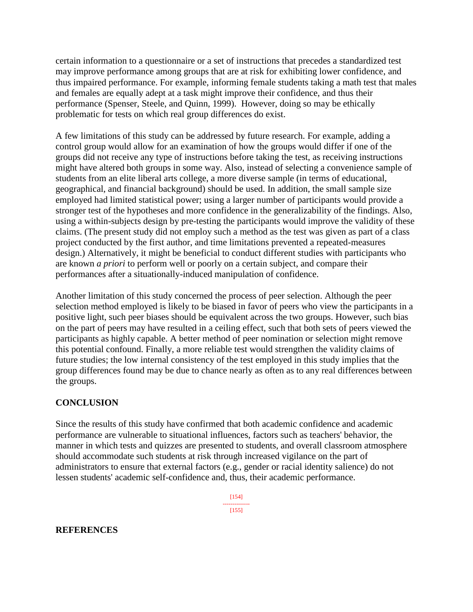certain information to a questionnaire or a set of instructions that precedes a standardized test may improve performance among groups that are at risk for exhibiting lower confidence, and thus impaired performance. For example, informing female students taking a math test that males and females are equally adept at a task might improve their confidence, and thus their performance (Spenser, Steele, and Quinn, 1999). However, doing so may be ethically problematic for tests on which real group differences do exist.

A few limitations of this study can be addressed by future research. For example, adding a control group would allow for an examination of how the groups would differ if one of the groups did not receive any type of instructions before taking the test, as receiving instructions might have altered both groups in some way. Also, instead of selecting a convenience sample of students from an elite liberal arts college, a more diverse sample (in terms of educational, geographical, and financial background) should be used. In addition, the small sample size employed had limited statistical power; using a larger number of participants would provide a stronger test of the hypotheses and more confidence in the generalizability of the findings. Also, using a within-subjects design by pre-testing the participants would improve the validity of these claims. (The present study did not employ such a method as the test was given as part of a class project conducted by the first author, and time limitations prevented a repeated-measures design.) Alternatively, it might be beneficial to conduct different studies with participants who are known *a priori* to perform well or poorly on a certain subject, and compare their performances after a situationally-induced manipulation of confidence.

Another limitation of this study concerned the process of peer selection. Although the peer selection method employed is likely to be biased in favor of peers who view the participants in a positive light, such peer biases should be equivalent across the two groups. However, such bias on the part of peers may have resulted in a ceiling effect, such that both sets of peers viewed the participants as highly capable. A better method of peer nomination or selection might remove this potential confound. Finally, a more reliable test would strengthen the validity claims of future studies; the low internal consistency of the test employed in this study implies that the group differences found may be due to chance nearly as often as to any real differences between the groups.

### **CONCLUSION**

Since the results of this study have confirmed that both academic confidence and academic performance are vulnerable to situational influences, factors such as teachers' behavior, the manner in which tests and quizzes are presented to students, and overall classroom atmosphere should accommodate such students at risk through increased vigilance on the part of administrators to ensure that external factors (e.g., gender or racial identity salience) do not lessen students' academic self-confidence and, thus, their academic performance.

> [154] --------------  $[155]$

**REFERENCES**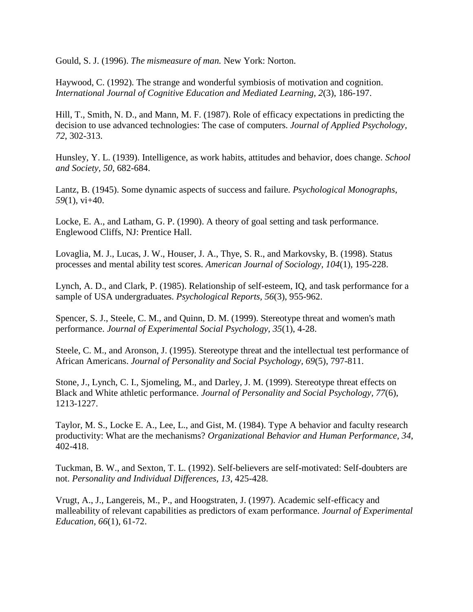Gould, S. J. (1996). *The mismeasure of man.* New York: Norton.

Haywood, C. (1992). The strange and wonderful symbiosis of motivation and cognition. *International Journal of Cognitive Education and Mediated Learning, 2*(3), 186-197.

Hill, T., Smith, N. D., and Mann, M. F. (1987). Role of efficacy expectations in predicting the decision to use advanced technologies: The case of computers. *Journal of Applied Psychology, 72*, 302-313.

Hunsley, Y. L. (1939). Intelligence, as work habits, attitudes and behavior, does change. *School and Society, 50*, 682-684.

Lantz, B. (1945). Some dynamic aspects of success and failure. *Psychological Monographs, 59*(1), vi+40.

Locke, E. A., and Latham, G. P. (1990). A theory of goal setting and task performance. Englewood Cliffs, NJ: Prentice Hall.

Lovaglia, M. J., Lucas, J. W., Houser, J. A., Thye, S. R., and Markovsky, B. (1998). Status processes and mental ability test scores. *American Journal of Sociology, 104*(1), 195-228.

Lynch, A. D., and Clark, P. (1985). Relationship of self-esteem, IQ, and task performance for a sample of USA undergraduates. *Psychological Reports, 56*(3), 955-962.

Spencer, S. J., Steele, C. M., and Quinn, D. M. (1999). Stereotype threat and women's math performance. *Journal of Experimental Social Psychology, 35*(1), 4-28.

Steele, C. M., and Aronson, J. (1995). Stereotype threat and the intellectual test performance of African Americans. *Journal of Personality and Social Psychology, 69*(5), 797-811.

Stone, J., Lynch, C. I., Sjomeling, M., and Darley, J. M. (1999). Stereotype threat effects on Black and White athletic performance. *Journal of Personality and Social Psychology, 77*(6), 1213-1227.

Taylor, M. S., Locke E. A., Lee, L., and Gist, M. (1984). Type A behavior and faculty research productivity: What are the mechanisms? *Organizational Behavior and Human Performance, 34*, 402-418.

Tuckman, B. W., and Sexton, T. L. (1992). Self-believers are self-motivated: Self-doubters are not. *Personality and Individual Differences, 13*, 425-428.

Vrugt, A., J., Langereis, M., P., and Hoogstraten, J. (1997). Academic self-efficacy and malleability of relevant capabilities as predictors of exam performance. *Journal of Experimental Education, 66*(1), 61-72.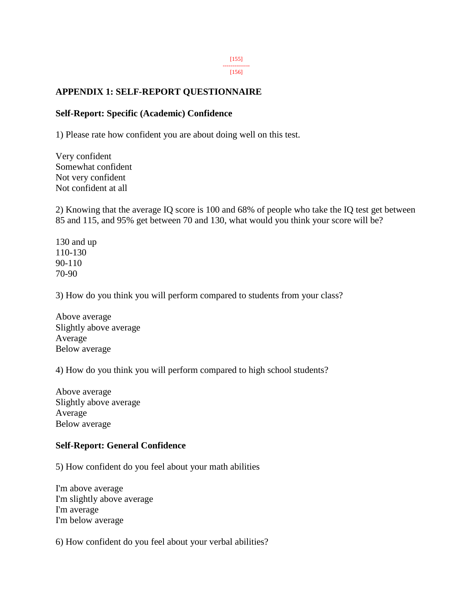#### [155] --------------

[156]

#### **APPENDIX 1: SELF-REPORT QUESTIONNAIRE**

#### **Self-Report: Specific (Academic) Confidence**

1) Please rate how confident you are about doing well on this test.

Very confident Somewhat confident Not very confident Not confident at all

2) Knowing that the average IQ score is 100 and 68% of people who take the IQ test get between 85 and 115, and 95% get between 70 and 130, what would you think your score will be?

130 and up 110-130 90-110 70-90

3) How do you think you will perform compared to students from your class?

Above average Slightly above average Average Below average

4) How do you think you will perform compared to high school students?

Above average Slightly above average Average Below average

#### **Self-Report: General Confidence**

5) How confident do you feel about your math abilities

I'm above average I'm slightly above average I'm average I'm below average

6) How confident do you feel about your verbal abilities?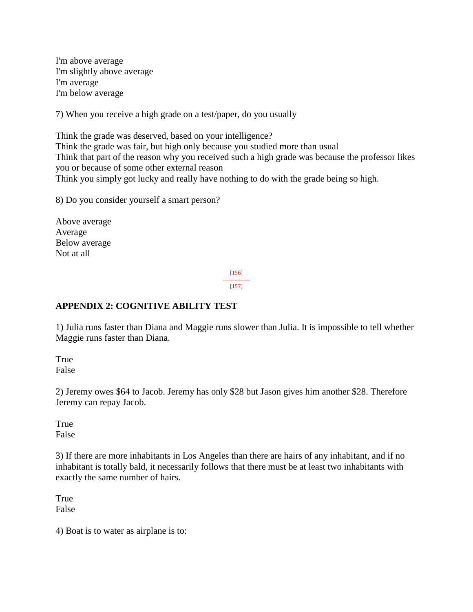I'm above average I'm slightly above average I'm average I'm below average

7) When you receive a high grade on a test/paper, do you usually

Think the grade was deserved, based on your intelligence? Think the grade was fair, but high only because you studied more than usual Think that part of the reason why you received such a high grade was because the professor likes you or because of some other external reason Think you simply got lucky and really have nothing to do with the grade being so high.

8) Do you consider yourself a smart person?

Above average Average Below average Not at all

> [156] -------------- [157]

#### **APPENDIX 2: COGNITIVE ABILITY TEST**

1) Julia runs faster than Diana and Maggie runs slower than Julia. It is impossible to tell whether Maggie runs faster than Diana.

True False

2) Jeremy owes \$64 to Jacob. Jeremy has only \$28 but Jason gives him another \$28. Therefore Jeremy can repay Jacob.

**True** False

3) If there are more inhabitants in Los Angeles than there are hairs of any inhabitant, and if no inhabitant is totally bald, it necessarily follows that there must be at least two inhabitants with exactly the same number of hairs.

True False

4) Boat is to water as airplane is to: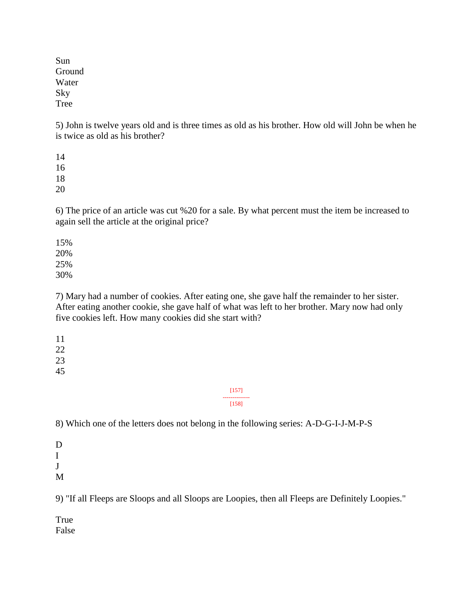Sun Ground Water Sky Tree

5) John is twelve years old and is three times as old as his brother. How old will John be when he is twice as old as his brother?

6) The price of an article was cut %20 for a sale. By what percent must the item be increased to again sell the article at the original price?

15% 20% 25% 30%

7) Mary had a number of cookies. After eating one, she gave half the remainder to her sister. After eating another cookie, she gave half of what was left to her brother. Mary now had only five cookies left. How many cookies did she start with?

> [157] --------------

[158]

8) Which one of the letters does not belong in the following series: A-D-G-I-J-M-P-S

D I J M

9) "If all Fleeps are Sloops and all Sloops are Loopies, then all Fleeps are Definitely Loopies."

True

False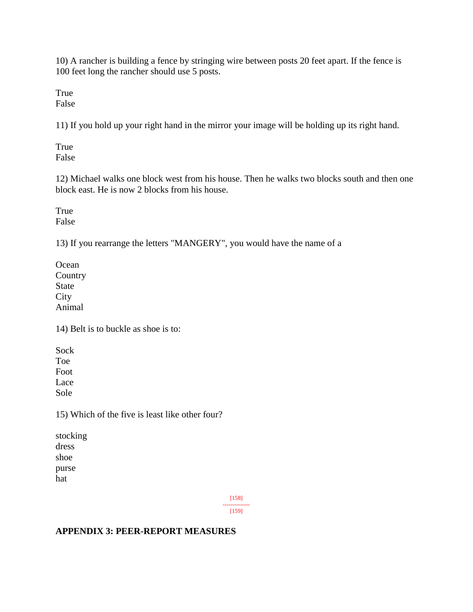10) A rancher is building a fence by stringing wire between posts 20 feet apart. If the fence is 100 feet long the rancher should use 5 posts.

True False

11) If you hold up your right hand in the mirror your image will be holding up its right hand.

True False

12) Michael walks one block west from his house. Then he walks two blocks south and then one block east. He is now 2 blocks from his house.

True False

13) If you rearrange the letters "MANGERY", you would have the name of a

**Ocean Country** State **City** Animal

14) Belt is to buckle as shoe is to:

Sock Toe Foot Lace Sole

15) Which of the five is least like other four?

| stocking |
|----------|
| dress    |
| shoe     |
| purse    |
| hat      |
|          |

#### [158]

-------------- [159]

## **APPENDIX 3: PEER-REPORT MEASURES**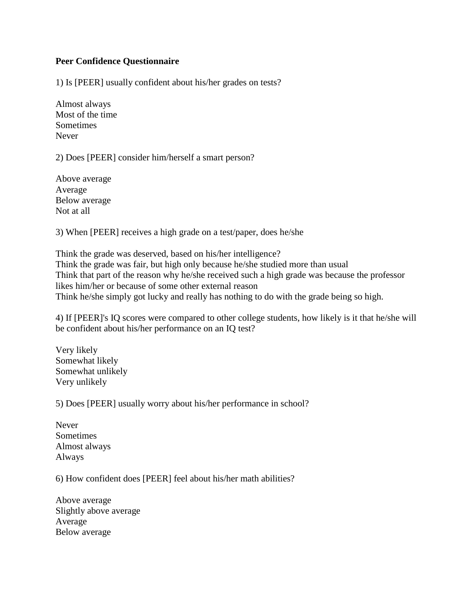#### **Peer Confidence Questionnaire**

1) Is [PEER] usually confident about his/her grades on tests?

Almost always Most of the time **Sometimes** Never

2) Does [PEER] consider him/herself a smart person?

Above average Average Below average Not at all

3) When [PEER] receives a high grade on a test/paper, does he/she

Think the grade was deserved, based on his/her intelligence? Think the grade was fair, but high only because he/she studied more than usual Think that part of the reason why he/she received such a high grade was because the professor likes him/her or because of some other external reason Think he/she simply got lucky and really has nothing to do with the grade being so high.

4) If [PEER]'s IQ scores were compared to other college students, how likely is it that he/she will be confident about his/her performance on an IQ test?

Very likely Somewhat likely Somewhat unlikely Very unlikely

5) Does [PEER] usually worry about his/her performance in school?

Never Sometimes Almost always Always

6) How confident does [PEER] feel about his/her math abilities?

Above average Slightly above average Average Below average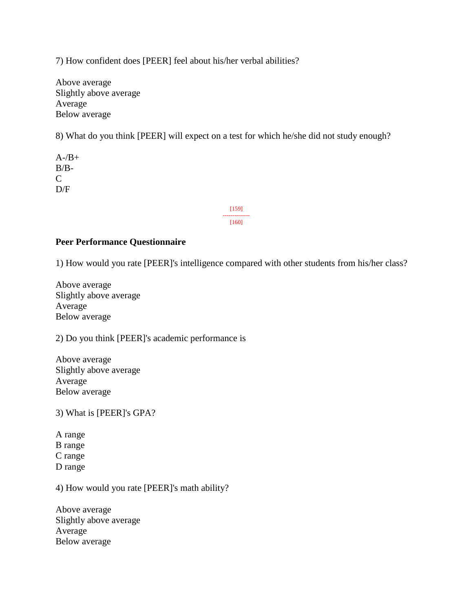7) How confident does [PEER] feel about his/her verbal abilities?

Above average Slightly above average Average Below average

8) What do you think [PEER] will expect on a test for which he/she did not study enough?

 $A - /B +$  $B/B-$ C D/F

> [159] -------------- [160]

#### **Peer Performance Questionnaire**

1) How would you rate [PEER]'s intelligence compared with other students from his/her class?

Above average Slightly above average Average Below average

2) Do you think [PEER]'s academic performance is

Above average Slightly above average Average Below average

3) What is [PEER]'s GPA?

A range B range C range D range

4) How would you rate [PEER]'s math ability?

Above average Slightly above average Average Below average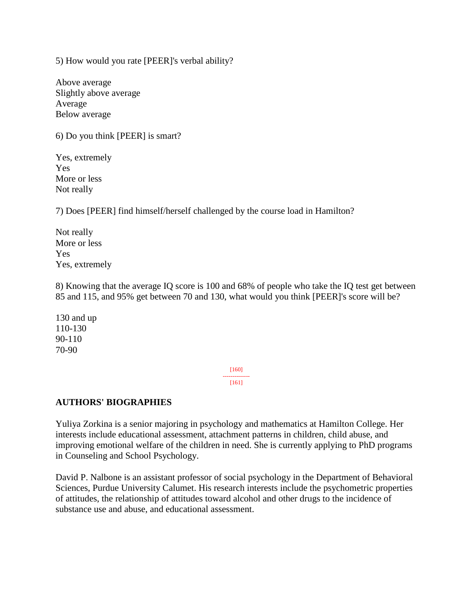5) How would you rate [PEER]'s verbal ability?

Above average Slightly above average Average Below average

6) Do you think [PEER] is smart?

Yes, extremely Yes More or less Not really

7) Does [PEER] find himself/herself challenged by the course load in Hamilton?

Not really More or less Yes Yes, extremely

8) Knowing that the average IQ score is 100 and 68% of people who take the IQ test get between 85 and 115, and 95% get between 70 and 130, what would you think [PEER]'s score will be?

130 and up 110-130 90-110 70-90

> [160] -------------- [161]

#### **AUTHORS' BIOGRAPHIES**

Yuliya Zorkina is a senior majoring in psychology and mathematics at Hamilton College. Her interests include educational assessment, attachment patterns in children, child abuse, and improving emotional welfare of the children in need. She is currently applying to PhD programs in Counseling and School Psychology.

David P. Nalbone is an assistant professor of social psychology in the Department of Behavioral Sciences, Purdue University Calumet. His research interests include the psychometric properties of attitudes, the relationship of attitudes toward alcohol and other drugs to the incidence of substance use and abuse, and educational assessment.